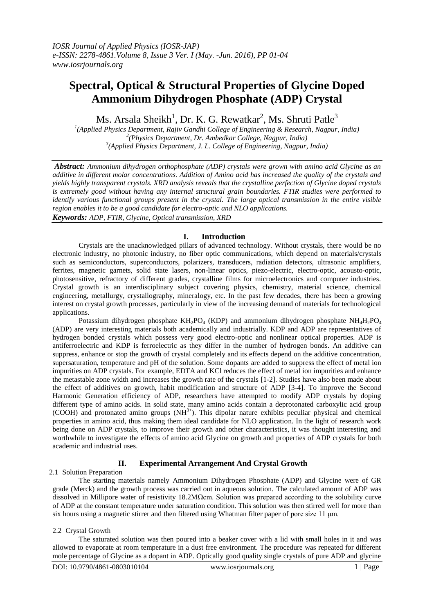# **Spectral, Optical & Structural Properties of Glycine Doped Ammonium Dihydrogen Phosphate (ADP) Crystal**

Ms. Arsala Sheikh $^1$ , Dr. K. G. Rewatkar $^2$ , Ms. Shruti Patle $^3$ 

*1 (Applied Physics Department, Rajiv Gandhi College of Engineering & Research, Nagpur, India) 2 (Physics Department, Dr. Ambedkar College, Nagpur, India) 3 (Applied Physics Department, J. L. College of Engineering, Nagpur, India)*

*Abstract: Ammonium dihydrogen orthophosphate (ADP) crystals were grown with amino acid Glycine as an additive in different molar concentrations. Addition of Amino acid has increased the quality of the crystals and yields highly transparent crystals. XRD analysis reveals that the crystalline perfection of Glycine doped crystals is extremely good without having any internal structural grain boundaries. FTIR studies were performed to identify various functional groups present in the crystal. The large optical transmission in the entire visible region enables it to be a good candidate for electro-optic and NLO applications. Keywords: ADP, FTIR, Glycine, Optical transmission, XRD* 

# **I. Introduction**

Crystals are the unacknowledged pillars of advanced technology. Without crystals, there would be no electronic industry, no photonic industry, no fiber optic communications, which depend on materials/crystals such as semiconductors, superconductors, polarizers, transducers, radiation detectors, ultrasonic amplifiers, ferrites, magnetic garnets, solid state lasers, non-linear optics, piezo-electric, electro-optic, acousto-optic, photosensitive, refractory of different grades, crystalline films for microelectronics and computer industries. Crystal growth is an interdisciplinary subject covering physics, chemistry, material science, chemical engineering, metallurgy, crystallography, mineralogy, etc. In the past few decades, there has been a growing interest on crystal growth processes, particularly in view of the increasing demand of materials for technological applications.

Potassium dihydrogen phosphate  $KH_2PQ_4$  (KDP) and ammonium dihydrogen phosphate  $NH_4H_2PQ_4$ (ADP) are very interesting materials both academically and industrially. KDP and ADP are representatives of hydrogen bonded crystals which possess very good electro-optic and nonlinear optical properties. ADP is antiferroelectric and KDP is ferroelectric as they differ in the number of hydrogen bonds. An additive can suppress, enhance or stop the growth of crystal completely and its effects depend on the additive concentration, supersaturation, temperature and pH of the solution. Some dopants are added to suppress the effect of metal ion impurities on ADP crystals. For example, EDTA and KCl reduces the effect of metal ion impurities and enhance the metastable zone width and increases the growth rate of the crystals [1-2]. Studies have also been made about the effect of additives on growth, habit modification and structure of ADP [3-4]. To improve the Second Harmonic Generation efficiency of ADP, researchers have attempted to modify ADP crystals by doping different type of amino acids. In solid state, many amino acids contain a deprotonated carboxylic acid group (COOH) and protonated amino groups (NH3+). This dipolar nature exhibits peculiar physical and chemical properties in amino acid, thus making them ideal candidate for NLO application. In the light of research work being done on ADP crystals, to improve their growth and other characteristics, it was thought interesting and worthwhile to investigate the effects of amino acid Glycine on growth and properties of ADP crystals for both academic and industrial uses.

## **II. Experimental Arrangement And Crystal Growth**

## 2.1 Solution Preparation

The starting materials namely Ammonium Dihydrogen Phosphate (ADP) and Glycine were of GR grade (Merck) and the growth process was carried out in aqueous solution. The calculated amount of ADP was dissolved in Millipore water of resistivity 18.2MΩcm. Solution was prepared according to the solubility curve of ADP at the constant temperature under saturation condition. This solution was then stirred well for more than six hours using a magnetic stirrer and then filtered using Whatman filter paper of pore size 11  $\mu$ m.

## 2.2 Crystal Growth

The saturated solution was then poured into a beaker cover with a lid with small holes in it and was allowed to evaporate at room temperature in a dust free environment. The procedure was repeated for different mole percentage of Glycine as a dopant in ADP. Optically good quality single crystals of pure ADP and glycine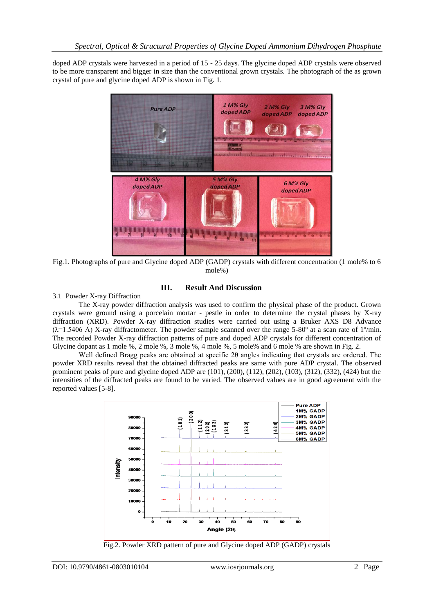doped ADP crystals were harvested in a period of 15 - 25 days. The glycine doped ADP crystals were observed to be more transparent and bigger in size than the conventional grown crystals. The photograph of the as grown crystal of pure and glycine doped ADP is shown in Fig. 1.



Fig.1. Photographs of pure and Glycine doped ADP (GADP) crystals with different concentration (1 mole% to 6 mole%)

# **III. Result And Discussion**

3.1 Powder X-ray Diffraction

The X-ray powder diffraction analysis was used to confirm the physical phase of the product. Grown crystals were ground using a porcelain mortar - pestle in order to determine the crystal phases by X-ray diffraction (XRD). Powder X-ray diffraction studies were carried out using a Bruker AXS D8 Advance  $(\lambda=1.5406 \text{ Å})$  X-ray diffractometer. The powder sample scanned over the range 5-80° at a scan rate of 1°/min. The recorded Powder X-ray diffraction patterns of pure and doped ADP crystals for different concentration of Glycine dopant as 1 mole %, 2 mole %, 3 mole %, 4 mole %, 5 mole% and 6 mole % are shown in Fig. 2.

Well defined Bragg peaks are obtained at specific 2θ angles indicating that crystals are ordered. The powder XRD results reveal that the obtained diffracted peaks are same with pure ADP crystal. The observed prominent peaks of pure and glycine doped ADP are (101), (200), (112), (202), (103), (312), (332), (424) but the intensities of the diffracted peaks are found to be varied. The observed values are in good agreement with the reported values [5-8].



Fig.2. Powder XRD pattern of pure and Glycine doped ADP (GADP) crystals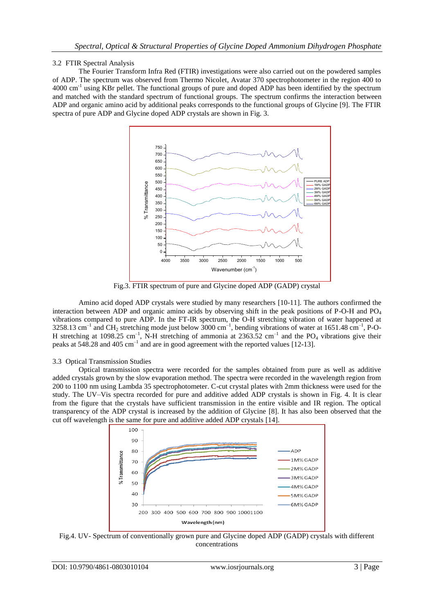# 3.2 FTIR Spectral Analysis

The Fourier Transform Infra Red (FTIR) investigations were also carried out on the powdered samples of ADP. The spectrum was observed from Thermo Nicolet, Avatar 370 spectrophotometer in the region 400 to 4000 cm<sup>-1</sup> using KBr pellet. The functional groups of pure and doped ADP has been identified by the spectrum and matched with the standard spectrum of functional groups. The spectrum confirms the interaction between ADP and organic amino acid by additional peaks corresponds to the functional groups of Glycine [9]. The FTIR spectra of pure ADP and Glycine doped ADP crystals are shown in Fig. 3.



Fig.3. FTIR spectrum of pure and Glycine doped ADP (GADP) crystal

Amino acid doped ADP crystals were studied by many researchers [10-11]. The authors confirmed the interaction between ADP and organic amino acids by observing shift in the peak positions of P-O-H and  $PO<sub>4</sub>$ vibrations compared to pure ADP. In the FT-IR spectrum, the O-H stretching vibration of water happened at 3258.13 cm<sup>-1</sup> and CH<sub>2</sub> stretching mode just below 3000 cm<sup>-1</sup>, bending vibrations of water at 1651.48 cm<sup>-1</sup>, P-O-H stretching at 1098.25 cm<sup>-1</sup>, N-H stretching of ammonia at 2363.52 cm<sup>-1</sup> and the PO<sub>4</sub> vibrations give their peaks at 548.28 and 405  $cm^{-1}$  and are in good agreement with the reported values [12-13].

# 3.3 Optical Transmission Studies

Optical transmission spectra were recorded for the samples obtained from pure as well as additive added crystals grown by the slow evaporation method. The spectra were recorded in the wavelength region from 200 to 1100 nm using Lambda 35 spectrophotometer. C-cut crystal plates with 2mm thickness were used for the study. The UV–Vis spectra recorded for pure and additive added ADP crystals is shown in Fig. 4. It is clear from the figure that the crystals have sufficient transmission in the entire visible and IR region. The optical transparency of the ADP crystal is increased by the addition of Glycine [8]. It has also been observed that the cut off wavelength is the same for pure and additive added ADP crystals [14].